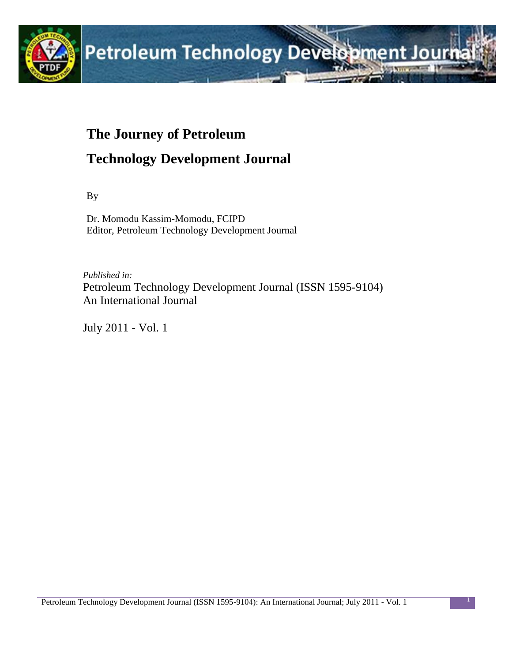

# **The Journey of Petroleum Technology Development Journal**

By

Dr. Momodu Kassim-Momodu, FCIPD Editor, Petroleum Technology Development Journal

*Published in:* Petroleum Technology Development Journal (ISSN 1595-9104) An International Journal

July 2011 - Vol. 1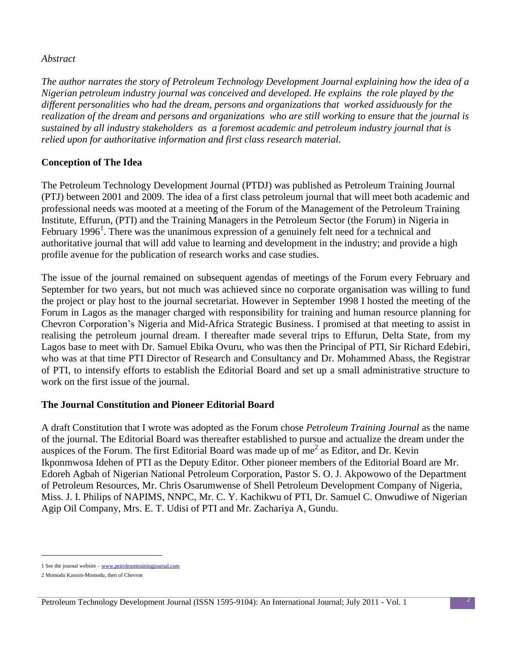#### *Abstract*

*The author narrates the story of Petroleum Technology Development Journal explaining how the idea of a Nigerian petroleum industry journal was conceived and developed. He explains the role played by the different personalities who had the dream, persons and organizations that worked assiduously for the realization of the dream and persons and organizations who are still working to ensure that the journal is sustained by all industry stakeholders as a foremost academic and petroleum industry journal that is relied upon for authoritative information and first class research material.* 

## **Conception of The Idea**

The Petroleum Technology Development Journal (PTDJ) was published as Petroleum Training Journal (PTJ) between 2001 and 2009. The idea of a first class petroleum journal that will meet both academic and professional needs was mooted at a meeting of the Forum of the Management of the Petroleum Training Institute, Effurun, (PTI) and the Training Managers in the Petroleum Sector (the Forum) in Nigeria in February 1996<sup>1</sup>. There was the unanimous expression of a genuinely felt need for a technical and authoritative journal that will add value to learning and development in the industry; and provide a high profile avenue for the publication of research works and case studies.

The issue of the journal remained on subsequent agendas of meetings of the Forum every February and September for two years, but not much was achieved since no corporate organisation was willing to fund the project or play host to the journal secretariat. However in September 1998 I hosted the meeting of the Forum in Lagos as the manager charged with responsibility for training and human resource planning for Chevron Corporation's Nigeria and Mid-Africa Strategic Business. I promised at that meeting to assist in realising the petroleum journal dream. I thereafter made several trips to Effurun, Delta State, from my Lagos base to meet with Dr. Samuel Ebika Ovuru, who was then the Principal of PTI, Sir Richard Edebiri, who was at that time PTI Director of Research and Consultancy and Dr. Mohammed Abass, the Registrar of PTI, to intensify efforts to establish the Editorial Board and set up a small administrative structure to work on the first issue of the journal.

#### **The Journal Constitution and Pioneer Editorial Board**

A draft Constitution that I wrote was adopted as the Forum chose *Petroleum Training Journal* as the name of the journal. The Editorial Board was thereafter established to pursue and actualize the dream under the auspices of the Forum. The first Editorial Board was made up of  $me^2$  as Editor, and Dr. Kevin Ikponmwosa Idehen of PTI as the Deputy Editor. Other pioneer members of the Editorial Board are Mr. Edoreh Agbah of Nigerian National Petroleum Corporation, Pastor S. O. J. Akpowowo of the Department of Petroleum Resources, Mr. Chris Osarumwense of Shell Petroleum Development Company of Nigeria, Miss. J. I. Philips of NAPIMS, NNPC, Mr. C. Y. Kachikwu of PTI, Dr. Samuel C. Onwudiwe of Nigerian Agip Oil Company, Mrs. E. T. Udisi of PTI and Mr. Zachariya A, Gundu.

 $\overline{a}$ 

<sup>1</sup> See the journal website – [www.petroleumtrainingjournal.com](http://www.petroleumtrainingjournal.com/)

<sup>2</sup> Momodu Kassim-Momodu, then of Chevron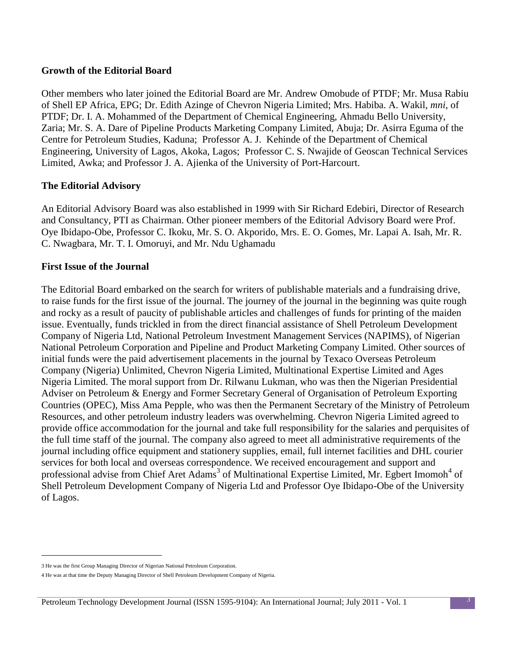#### **Growth of the Editorial Board**

Other members who later joined the Editorial Board are Mr. Andrew Omobude of PTDF; Mr. Musa Rabiu of Shell EP Africa, EPG; Dr. Edith Azinge of Chevron Nigeria Limited; Mrs. Habiba. A. Wakil, *mni,* of PTDF; Dr. I. A. Mohammed of the Department of Chemical Engineering, Ahmadu Bello University, Zaria; Mr. S. A. Dare of Pipeline Products Marketing Company Limited, Abuja; Dr. Asirra Eguma of the Centre for Petroleum Studies, Kaduna; Professor A. J. Kehinde of the Department of Chemical Engineering, University of Lagos, Akoka, Lagos; Professor C. S. Nwajide of Geoscan Technical Services Limited, Awka; and Professor J. A. Ajienka of the University of Port-Harcourt.

#### **The Editorial Advisory**

An Editorial Advisory Board was also established in 1999 with Sir Richard Edebiri, Director of Research and Consultancy, PTI as Chairman. Other pioneer members of the Editorial Advisory Board were Prof. Oye Ibidapo-Obe, Professor C. Ikoku, Mr. S. O. Akporido, Mrs. E. O. Gomes, Mr. Lapai A. Isah, Mr. R. C. Nwagbara, Mr. T. I. Omoruyi, and Mr. Ndu Ughamadu

#### **First Issue of the Journal**

The Editorial Board embarked on the search for writers of publishable materials and a fundraising drive, to raise funds for the first issue of the journal. The journey of the journal in the beginning was quite rough and rocky as a result of paucity of publishable articles and challenges of funds for printing of the maiden issue. Eventually, funds trickled in from the direct financial assistance of Shell Petroleum Development Company of Nigeria Ltd, National Petroleum Investment Management Services (NAPIMS), of Nigerian National Petroleum Corporation and Pipeline and Product Marketing Company Limited. Other sources of initial funds were the paid advertisement placements in the journal by Texaco Overseas Petroleum Company (Nigeria) Unlimited, Chevron Nigeria Limited, Multinational Expertise Limited and Ages Nigeria Limited. The moral support from Dr. Rilwanu Lukman, who was then the Nigerian Presidential Adviser on Petroleum & Energy and Former Secretary General of Organisation of Petroleum Exporting Countries (OPEC), Miss Ama Pepple, who was then the Permanent Secretary of the Ministry of Petroleum Resources, and other petroleum industry leaders was overwhelming. Chevron Nigeria Limited agreed to provide office accommodation for the journal and take full responsibility for the salaries and perquisites of the full time staff of the journal. The company also agreed to meet all administrative requirements of the journal including office equipment and stationery supplies, email, full internet facilities and DHL courier services for both local and overseas correspondence. We received encouragement and support and professional advise from Chief Aret Adams<sup>3</sup> of Multinational Expertise Limited, Mr. Egbert Imomoh<sup>4</sup> of Shell Petroleum Development Company of Nigeria Ltd and Professor Oye Ibidapo-Obe of the University of Lagos.

 $\overline{a}$ 

<sup>3</sup> He was the first Group Managing Director of Nigerian National Petroleum Corporation.

<sup>4</sup> He was at that time the Deputy Managing Director of Shell Petroleum Development Company of Nigeria.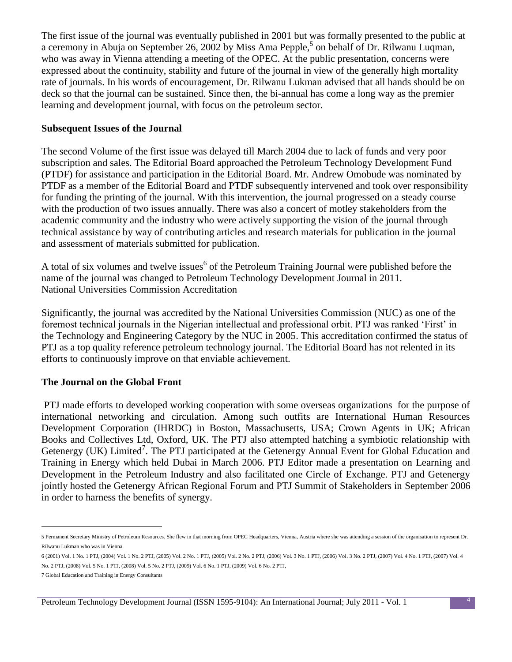The first issue of the journal was eventually published in 2001 but was formally presented to the public at a ceremony in Abuja on September 26, 2002 by Miss Ama Pepple,<sup>5</sup> on behalf of Dr. Rilwanu Luqman, who was away in Vienna attending a meeting of the OPEC. At the public presentation, concerns were expressed about the continuity, stability and future of the journal in view of the generally high mortality rate of journals. In his words of encouragement, Dr. Rilwanu Lukman advised that all hands should be on deck so that the journal can be sustained. Since then, the bi-annual has come a long way as the premier learning and development journal, with focus on the petroleum sector.

#### **Subsequent Issues of the Journal**

The second Volume of the first issue was delayed till March 2004 due to lack of funds and very poor subscription and sales. The Editorial Board approached the Petroleum Technology Development Fund (PTDF) for assistance and participation in the Editorial Board. Mr. Andrew Omobude was nominated by PTDF as a member of the Editorial Board and PTDF subsequently intervened and took over responsibility for funding the printing of the journal. With this intervention, the journal progressed on a steady course with the production of two issues annually. There was also a concert of motley stakeholders from the academic community and the industry who were actively supporting the vision of the journal through technical assistance by way of contributing articles and research materials for publication in the journal and assessment of materials submitted for publication.

A total of six volumes and twelve issues<sup>6</sup> of the Petroleum Training Journal were published before the name of the journal was changed to Petroleum Technology Development Journal in 2011. National Universities Commission Accreditation

Significantly, the journal was accredited by the National Universities Commission (NUC) as one of the foremost technical journals in the Nigerian intellectual and professional orbit. PTJ was ranked 'First' in the Technology and Engineering Category by the NUC in 2005. This accreditation confirmed the status of PTJ as a top quality reference petroleum technology journal. The Editorial Board has not relented in its efforts to continuously improve on that enviable achievement.

#### **The Journal on the Global Front**

PTJ made efforts to developed working cooperation with some overseas organizations for the purpose of international networking and circulation. Among such outfits are International Human Resources Development Corporation (IHRDC) in Boston, Massachusetts, USA; Crown Agents in UK; African Books and Collectives Ltd, Oxford, UK. The PTJ also attempted hatching a symbiotic relationship with Getenergy (UK) Limited<sup>7</sup>. The PTJ participated at the Getenergy Annual Event for Global Education and Training in Energy which held Dubai in March 2006. PTJ Editor made a presentation on Learning and Development in the Petroleum Industry and also facilitated one Circle of Exchange. PTJ and Getenergy jointly hosted the Getenergy African Regional Forum and PTJ Summit of Stakeholders in September 2006 in order to harness the benefits of synergy.

l

<sup>5</sup> Permanent Secretary Ministry of Petroleum Resources. She flew in that morning from OPEC Headquarters, Vienna, Austria where she was attending a session of the organisation to represent Dr. Rilwanu Lukman who was in Vienna.

<sup>6</sup> (2001) Vol. 1 No. 1 PTJ, (2004) Vol. 1 No. 2 PTJ, (2005) Vol. 2 No. 1 PTJ, (2005) Vol. 2 No. 2 PTJ, (2006) Vol. 3 No. 1 PTJ, (2006) Vol. 3 No. 2 PTJ, (2007) Vol. 4 No. 1 PTJ, (2007) Vol. 4 No. 2 PTJ, (2008) Vol. 5 No. 1 PTJ, (2008) Vol. 5 No. 2 PTJ, (2009) Vol. 6 No. 1 PTJ, (2009) Vol. 6 No. 2 PTJ,

<sup>7</sup> Global Education and Training in Energy Consultants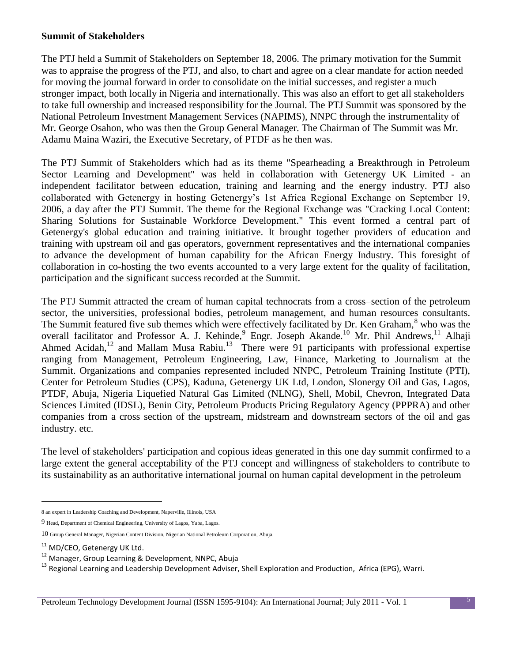#### **Summit of Stakeholders**

The PTJ held a Summit of Stakeholders on September 18, 2006. The primary motivation for the Summit was to appraise the progress of the PTJ, and also, to chart and agree on a clear mandate for action needed for moving the journal forward in order to consolidate on the initial successes, and register a much stronger impact, both locally in Nigeria and internationally. This was also an effort to get all stakeholders to take full ownership and increased responsibility for the Journal. The PTJ Summit was sponsored by the National Petroleum Investment Management Services (NAPIMS), NNPC through the instrumentality of Mr. George Osahon, who was then the Group General Manager. The Chairman of The Summit was Mr. Adamu Maina Waziri, the Executive Secretary, of PTDF as he then was.

The PTJ Summit of Stakeholders which had as its theme "Spearheading a Breakthrough in Petroleum Sector Learning and Development" was held in collaboration with Getenergy UK Limited - an independent facilitator between education, training and learning and the energy industry. PTJ also collaborated with Getenergy in hosting Getenergy's 1st Africa Regional Exchange on September 19, 2006, a day after the PTJ Summit. The theme for the Regional Exchange was "Cracking Local Content: Sharing Solutions for Sustainable Workforce Development." This event formed a central part of Getenergy's global education and training initiative. It brought together providers of education and training with upstream oil and gas operators, government representatives and the international companies to advance the development of human capability for the African Energy Industry. This foresight of collaboration in co-hosting the two events accounted to a very large extent for the quality of facilitation, participation and the significant success recorded at the Summit.

The PTJ Summit attracted the cream of human capital technocrats from a cross–section of the petroleum sector, the universities, professional bodies, petroleum management, and human resources consultants. The Summit featured five sub themes which were effectively facilitated by Dr. Ken Graham,<sup>8</sup> who was the overall facilitator and Professor A. J. Kehinde,<sup>9</sup> Engr. Joseph Akande.<sup>10</sup> Mr. Phil Andrews,<sup>11</sup> Alhaji Ahmed Acidah,<sup>12</sup> and Mallam Musa Rabiu.<sup>13</sup> There were 91 participants with professional expertise ranging from Management, Petroleum Engineering, Law, Finance, Marketing to Journalism at the Summit. Organizations and companies represented included NNPC, Petroleum Training Institute (PTI), Center for Petroleum Studies (CPS), Kaduna, Getenergy UK Ltd, London, Slonergy Oil and Gas, Lagos, PTDF, Abuja, Nigeria Liquefied Natural Gas Limited (NLNG), Shell, Mobil, Chevron, Integrated Data Sciences Limited (IDSL), Benin City, Petroleum Products Pricing Regulatory Agency (PPPRA) and other companies from a cross section of the upstream, midstream and downstream sectors of the oil and gas industry. etc.

The level of stakeholders' participation and copious ideas generated in this one day summit confirmed to a large extent the general acceptability of the PTJ concept and willingness of stakeholders to contribute to its sustainability as an authoritative international journal on human capital development in the petroleum

l

<sup>8</sup> an expert in Leadership Coaching and Development, Naperville, Illinois, USA

<sup>9</sup> Head, Department of Chemical Engineering, University of Lagos, Yaba, Lagos.

<sup>10</sup> Group General Manager, Nigerian Content Division, Nigerian National Petroleum Corporation, Abuja.

<sup>&</sup>lt;sup>11</sup> MD/CEO, Getenergy UK Ltd.

<sup>&</sup>lt;sup>12</sup> Manager, Group Learning & Development, NNPC, Abuja

<sup>&</sup>lt;sup>13</sup> Regional Learning and Leadership Development Adviser, Shell Exploration and Production, Africa (EPG), Warri.